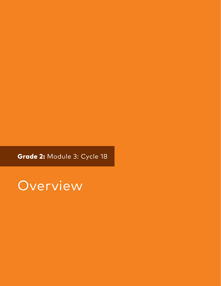Grade 2: Module 3: Cycle 18

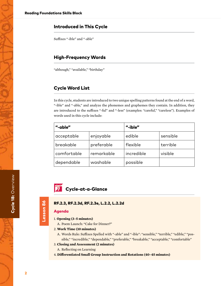# Introduced in This Cycle

Suffixes "-ible" and "-able"

# High-Frequency Words

"although," "available," "birthday"

# Cycle Word List

In this cycle, students are introduced to two unique spelling patterns found at the end of a word, "-ible" and "-able," and analyze the phonemes and graphemes they contain. In addition, they are introduced to the suffixes "-ful" and "-less" (examples: "careful," "careless"). Examples of words used in this cycle include:

| "-able"     |            | "-ible"    |          |
|-------------|------------|------------|----------|
| acceptable  | enjoyable  | edible     | sensible |
| breakable   | preferable | flexible   | terrible |
| comfortable | remarkable | incredible | visible  |
| dependable  | washable   | possible   |          |

**7** Cycle-at-a-Glance

# Lesson 86 Lesson 86

## RF.2.3, RF.2.3d, RF.2.3e, L.2.2, L.2.2d

# Agenda

## 1. **Opening (3–5 minutes)**

A. Poem Launch: "Cake for Dinner?"

## 2. **Work Time (10 minutes)**

A. Words Rule: Suffixes Spelled with "-able" and "-ible": "sensible," "terrible," "edible," "possible," "incredible," "dependable," "preferable," "breakable," "acceptable," "comfortable"

#### 3. **Closing and Assessment (2 minutes)**

- A. Reflecting on Learning
- 4. **Differentiated Small Group Instruction and Rotations (40–45 minutes)**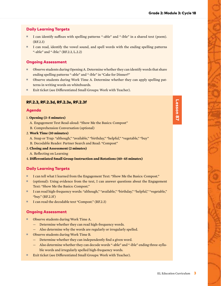# Daily Learning Targets

- I can identify suffixes with spelling patterns "-able" and "-ible" in a shared text (poem). (RF.2.3)
- I can read, identify the vowel sound, and spell words with the ending spelling patterns "-able" and "-ible." (RF.2.3, L.2.2)

# Ongoing Assessment

- Observe students during Opening A. Determine whether they can identify words that share ending spelling patterns "-able" and "-ible" in "Cake for Dinner?"
- Observe students during Work Time A. Determine whether they can apply spelling patterns in writing words on whiteboards.
- Exit ticket (see Differentiated Small Groups: Work with Teacher).

# RF.2.3, RF.2.3d, RF.2.3e, RF.2.3f

# Agenda

- 1. **Opening (3–5 minutes)**
	- A. Engagement Text Read-aloud: "Show Me the Basics: Compost"
	- B. Comprehension Conversation (optional)
- 2. **Work Time (10 minutes)**
	- A. Snap or Trap: "although," "available," "birthday," "helpful," "vegetable," "buy"
- B. Decodable Reader: Partner Search and Read: "Compost"
- 3. **Closing and Assessment (2 minutes)**
- A. Reflecting on Learning
- 4. **Differentiated Small Group Instruction and Rotations (40–45 minutes)**

# Daily Learning Targets

- I can tell what I learned from the Engagement Text: "Show Me the Basics: Compost."
- (optional): Using evidence from the text, I can answer questions about the Engagement Text: "Show Me the Basics: Compost."
- I can read high-frequency words: "although," "available," "birthday," "helpful," "vegetable," "buy." (RF.2.3f )
- I can read the decodable text "Compost." (RF.2.3)

# Ongoing Assessment

- Observe students during Work Time A.
	- Determine whether they can read high-frequency words.
	- Also determine why the words are regularly or irregularly spelled.
- Observe students during Work Time B.
	- Determine whether they can independently find a given word.
	- Also determine whether they can decode words "-able" and "-ible" ending three-syllable words and irregularly spelled high-frequency words.
- Exit ticket (see Differentiated Small Groups: Work with Teacher).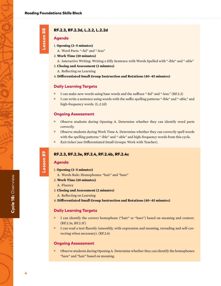# RF.2.3, RF.2.3d, L.2.2, L.2.2d

## Agenda

- 1. **Opening (3–5 minutes)**
	- A. Word Parts: "-ful" and "-less"
- 2. **Work Time (10 minutes)**
	- A. Interactive Writing: Writing a Silly Sentence with Words Spelled with "-ible" and "-able"
- 3. **Closing and Assessment (2 minutes)**
	- A. Reflecting on Learning
- 4. **Differentiated Small Group Instruction and Rotations (40–45 minutes)**

## Daily Learning Targets

- I can make new words using base words and the suffixes "-ful" and "-less." (RF.2.3)
- I can write a sentence using words with the suffix spelling patterns "-ible" and "-able," and high-frequency words. (L.2.2d)

#### Ongoing Assessment

- Observe students during Opening A. Determine whether they can identify word parts correctly.
- Observe students during Work Time A. Determine whether they can correctly spell words with the spelling patterns "-ible" and "-able" and high-frequency words from this cycle.
- Exit ticket (see Differentiated Small Groups: Work with Teacher).

## RF.2.3, RF.2.3e, RF.2.4, RF.2.4b, RF.2.4c

## Agenda

Lesson 89

Lesson 89

- 1. **Opening (3–5 minutes)**
	- A. Words Rule: Homophones: "hair" and "hare"
- 2. **Work Time (10 minutes)**
- A. Fluency
- 3. **Closing and Assessment (2 minutes)**
	- A. Reflecting on Learning
- 4. **Differentiated Small Group Instruction and Rotations (40–45 minutes)**

## Daily Learning Targets

- I can identify the correct homophone ("hair" or "hare") based on meaning and context. (RF.2.3a, RF.2.3f )
- I can read a text fluently (smoothly, with expression and meaning, rereading and self-correcting when necessary). (RF.2.4)

#### Ongoing Assessment

■ Observe students during Opening A. Determine whether they can identify the homophones "hare" and "hair" based on meaning.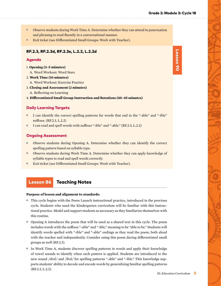- Observe students during Work Time A. Determine whether they can attend to punctuation and phrasing to read fluently in a conversational manner.
- Exit ticket (see Differentiated Small Groups: Work with Teacher).

## RF.2.3, RF.2.3d, RF.2.3e, L.2.2, L.2.2d

### Agenda

- 1. **Opening (3–5 minutes)**
	- A. Word Workout: Word Stars
- 2. **Work Time (10 minutes)**
	- A. Word Workout: Exercise Practice
- 3. **Closing and Assessment (2 minutes)** A. Reflecting on Learning
- 4. **Differentiated Small Group Instruction and Rotations (40–45 minutes)**

## Daily Learning Targets

- I can identify the correct spelling patterns for words that end in the "-able" and "-ible" suffixes. (RF.2.3, L.2.2)
- I can read and spell words with suffixes "-ible" and "-able." (RF.2.3, L.2.2)

## Ongoing Assessment

- Observe students during Opening A. Determine whether they can identify the correct spelling pattern based on syllable type.
- Observe students during Work Time A. Determine whether they can apply knowledge of syllable types to read and spell words correctly.
- Exit ticket (see Differentiated Small Groups: Work with Teacher).

# Lesson 86 Teaching Notes

#### **Purpose of lesson and alignment to standards:**

- This cycle begins with the Poem Launch instructional practice, introduced in the previous cycle. Students who used the Kindergarten curriculum will be familiar with this instructional practice. Model and support students as necessary as they familiarize themselves with this routine.
- Opening A introduces the poem that will be used as a shared text in this cycle. The poem includes words with the suffixes "-able" and "-ible," meaning to be "able to be." Students will identify words spelled with "-ible" and "-able" endings as they read the poem, both aloud with the teacher and independently. Consider using this poem during differentiated small groups as well (RF.2.3).
- In Work Time A, students discover spelling patterns in words and apply their knowledge of vowel sounds to identify when each pattern is applied. Students are introduced to the new sound /əbəl/ and /ibəl/ for spelling patterns "-able" and "-ible." This knowledge supports students' ability to decode and encode words by generalizing familiar spelling patterns (RF.2.3, L.2.2).

Lesson 90 Lesson 90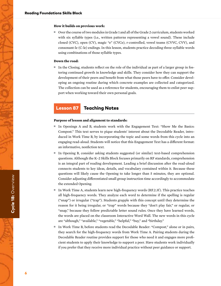#### **How it builds on previous work:**

■ Over the course of two modules in Grade 1 and all of the Grade 2 curriculum, students worked with six syllable types (i.e., written patterns representing a vowel sound). These include closed (CVC), open (CV), magic "e" (CVCe), r-controlled, vowel teams (CVVC, CVV), and consonant-le (C-le) endings. In this lesson, students practice decoding three-syllable words using combinations of those syllable types.

#### **Down the road:**

■ In the Closing, students reflect on the role of the individual as part of a larger group in fostering continued growth in knowledge and skills. They consider how they can support the development of their peers and benefit from what those peers have to offer. Consider developing an ongoing routine during which concrete examples are collected and categorized. The collection can be used as a reference for students, encouraging them to enlist peer support when working toward their own personal goals.

# Lesson 87 Teaching Notes

#### **Purpose of lesson and alignment to standards:**

- In Openings A and B, students work with the Engagement Text: "Show Me the Basics: Compost." This text serves to pique students' interest about the Decodable Reader, introduced in Work Time B, by incorporating the topic and some words from this cycle into an engaging read-aloud. Students will notice that this Engagement Text has a different format: an informative, nonfiction text.
- In Opening B, consider asking students suggested (or similar) text-based comprehension questions. Although the K–2 Skills Block focuses primarily on RF standards, comprehension is an integral part of reading development. Leading a brief discussion after the read-aloud connects students to key ideas, details, and vocabulary contained within it. Because these questions will likely cause the Opening to take longer than 5 minutes, they are optional. Consider adjusting differentiated small group instruction time accordingly to accommodate the extended Opening.
- In Work Time A, students learn new high-frequency words (RF.2.3f). This practice teaches all high-frequency words. They analyze each word to determine if the spelling is regular ("snap") or irregular ("trap"). Students grapple with this concept until they determine the reason for it being irregular, or "trap" words because they "don't play fair," or regular, or "snap," because they follow predictable letter sound rules. Once they have learned words, the words are placed on the classroom Interactive Word Wall. The new words in this cycle are "although," "available," "vegetable," "helpful," "buy," and "birthday."
- In Work Time B, before students read the Decodable Reader: "Compost," alone or in pairs, they search for the high-frequency words from Work Time A. Pairing students during the Decodable Reader routine provides support for those who need it and engages more proficient students to apply their knowledge to support a peer. Have students work individually if you prefer that they receive more individual practice without peer guidance or support.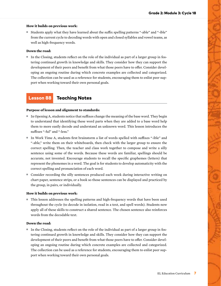### **How it builds on previous work:**

■ Students apply what they have learned about the suffix spelling patterns "-able" and "-ible" from the current cycle to decoding words with open and closed syllables and vowel teams, as well as high-frequency words.

#### **Down the road:**

■ In the Closing, students reflect on the role of the individual as part of a larger group in fostering continued growth in knowledge and skills. They consider how they can support the development of their peers and benefit from what those peers have to offer. Consider developing an ongoing routine during which concrete examples are collected and categorized. The collection can be used as a reference for students, encouraging them to enlist peer support when working toward their own personal goals.

# Lesson 88 Teaching Notes

#### **Purpose of lesson and alignment to standards:**

- In Opening A, students notice that suffixes change the meaning of the base word. They begin to understand that identifying these word parts when they are added to a base word help them to more easily decode and understand an unknown word. This lesson introduces the suffixes "-ful" and "-less."
- In Work Time A, students first brainstorm a list of words spelled with suffixes "-ible" and "-able," write them on their whiteboards, then check with the larger group to ensure the correct spelling. Then, the teacher and class work together to compose and write a silly sentence using some of the words. Because these words are familiar, spellings should be accurate, not invented. Encourage students to recall the specific graphemes (letters) that represent the phonemes in a word. The goal is for students to develop automaticity with the correct spelling and pronunciation of each word.
- Consider recording the silly sentences produced each week during interactive writing on chart paper, sentence strips, or a book so those sentences can be displayed and practiced by the group, in pairs, or individually.

#### **How it builds on previous work:**

■ This lesson addresses the spelling patterns and high-frequency words that have been used throughout the cycle (to decode in isolation, read in a text, and spell words). Students now apply all of these skills to construct a shared sentence. The chosen sentence also reinforces words from the decodable text.

## **Down the road:**

■ In the Closing, students reflect on the role of the individual as part of a larger group in fostering continued growth in knowledge and skills. They consider how they can support the development of their peers and benefit from what those peers have to offer. Consider developing an ongoing routine during which concrete examples are collected and categorized. The collection can be used as a reference for students, encouraging them to enlist peer support when working toward their own personal goals.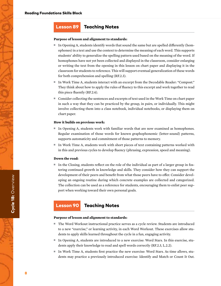# Lesson 89 Teaching Notes

#### **Purpose of lesson and alignment to standards:**

- In Opening A, students identify words that sound the same but are spelled differently (homophones) in a text and use the context to determine the meaning of each word. This supports students' ability to generalize the spelling pattern used based on the meaning of the word. If homophones have not yet been collected and displayed in the classroom, consider enlarging or writing the text from the opening in this lesson on chart paper and displaying it in the classroom for students to reference. This will support eventual generalization of these words for both comprehension and spelling (RF.2.3).
- In Work Time A, students interact with an excerpt from the Decodable Reader: "Compost." They think about how to apply the rules of fluency to this excerpt and work together to read this piece fluently (RF.2.4).
- Consider collecting the sentences and excerpts of text used in the Work Time on chart paper in such a way that they can be practiced by the group, in pairs, or individually. This might involve collecting them into a class notebook, individual notebooks, or displaying them on chart paper.

#### **How it builds on previous work:**

- In Opening A, students work with familiar words that are now examined as homophones. Regular examination of those words for known graphophonemic (letter-sound) patterns, supports automaticity and commitment of those patterns to memory.
- In Work Time A, students work with short pieces of text containing patterns worked with in this and previous cycles to develop fluency (phrasing, expression, speed and meaning).

#### **Down the road:**

■ In the Closing, students reflect on the role of the individual as part of a larger group in fostering continued growth in knowledge and skills. They consider how they can support the development of their peers and benefit from what those peers have to offer. Consider developing an ongoing routine during which concrete examples are collected and categorized. The collection can be used as a reference for students, encouraging them to enlist peer support when working toward their own personal goals.

# Lesson 90 Teaching Notes

#### **Purpose of lesson and alignment to standards:**

- The Word Workout instructional practice serves as a cycle review. Students are introduced to a new "exercise," or learning activity, in each Word Workout. These exercises allow students to apply skills learned throughout the cycle in a fun, engaging activity.
- In Opening A, students are introduced to a new exercise: Word Stars. In this exercise, students apply their knowledge to read and spell words correctly (RF.2.3, L.2.2).
- In Work Time A, students first practice the new exercise: Word Stars. As time allows, students may practice a previously introduced exercise: Identify and Match or Count It Out.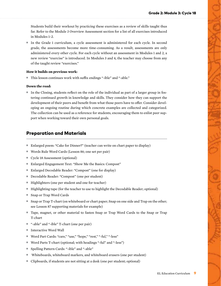Students build their workout by practicing these exercises as a review of skills taught thus far. Refer to the Module 3 Overview Assessment section for a list of all exercises introduced in Modules 1–2.

■ In the Grade 1 curriculum, a cycle assessment is administered for each cycle. In second grade, the assessments become more time-consuming. As a result, assessments are only administered every other cycle. For each cycle without an assessment in Modules 1 and 2, a new review "exercise" is introduced. In Modules 3 and 4, the teacher may choose from any of the taught review "exercises."

## **How it builds on previous work:**

■ This lesson continues work with suffix endings "-ible" and "-able."

## **Down the road:**

■ In the Closing, students reflect on the role of the individual as part of a larger group in fostering continued growth in knowledge and skills. They consider how they can support the development of their peers and benefit from what those peers have to offer. Consider developing an ongoing routine during which concrete examples are collected and categorized. The collection can be used as a reference for students, encouraging them to enlist peer support when working toward their own personal goals.

# Preparation and Materials

- Enlarged poem: "Cake for Dinner?" (teacher can write on chart paper to display)
- Words Rule Word Cards (Lesson 86; one set per pair)
- Cycle 18 Assessment (optional)
- Enlarged Engagement Text: "Show Me the Basics: Compost"
- Enlarged Decodable Reader: "Compost" (one for display)
- Decodable Reader: "Compost" (one per student)
- Highlighters (one per student and one for teacher)
- Highlighting tape (for the teacher to use to highlight the Decodable Reader; optional)
- Snap or Trap Word Cards
- Snap or Trap T-chart (on whiteboard or chart paper; Snap on one side and Trap on the other; see Lesson 87 supporting materials for example)
- Tape, magnet, or other material to fasten Snap or Trap Word Cards to the Snap or Trap T-chart
- "-able" and "-ible" T-chart (one per pair)
- Interactive Word Wall
- Word Part Cards: "care," "use," "hope," "rest," "-ful," "-less"
- Word Parts T-chart (optional; with headings "-ful" and "-less")
- Spelling Pattern Cards: "-ible" and "-able"
- Whiteboards, whiteboard markers, and whiteboard erasers (one per student)
- Clipboards, if students are not sitting at a desk (one per student; optional)